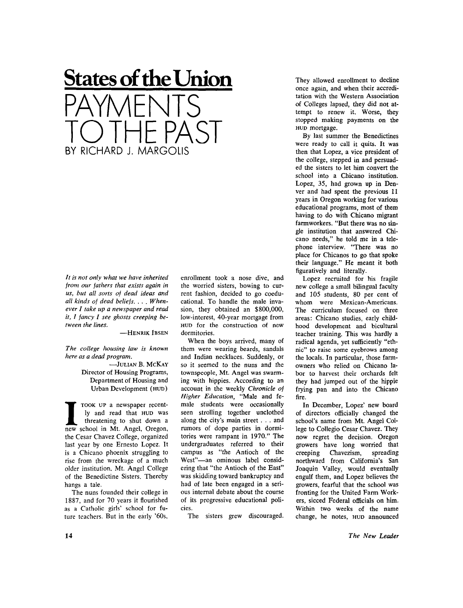## **States of the Union**  PAYMENTS IO IHE PAST BY RICHARD J. MARGOLIS

*It is not only what we have inherited from our fathers that exists again in us, but all sorts of dead ideas and all kinds of dead beliefs. . . . Whenever I take up a newspaper and read it, I fancy I see ghosts creeping between the lines.* 

—HENRIK IBSEN

*The college housing law is known here as a dead program.* 

> -Julian B. McKay Director of Housing Programs, Department of Housing and Urban Development (HUD )

**I I**nook UP a newspaper recent-<br>
ly and read that HUD was<br>
threatening to shut down a<br>
new school in Mt. Angel, Oregon, TOOK UP a newspaper recently and read that HUD was threatening to shut down a the Cesar Chavez College, organized last year by one Ernesto Lopez. It is a Chicano phoenix struggling to rise from the wreckage of a much older institution, Mt. Angel College of the Benedictine Sisters. Thereby hangs a tale.

The nuns founded their college in 1887, and for 70 years it flourished as a Catholic girls' school for future teachers. But in the early '60s,

enrollment took a nose dive, and the worried sisters, bowing to current fashion, decided to go coeducational. To handle the male invasion, they obtained an \$800,000, low-interest, 40-year mortgage from HUD for the construction of new dormitories.

When the boys arrived, many of them were wearing beards, sandals and Indian necklaces. Suddenly, or so it seemed to the nuns and the townspeople, Mt. Angel was swarming with hippies. According to an account in the weekly *Chronicle of Higher Education,* "Male and female students were occasionally seen strolling together unclothed along the city's main street . . . and rumors of dope parties in dormitories were rampant in 1970." The undergraduates referred to their campus as "the Antioch of the West"—an ominous label considering that "the Antioch of the East" was skidding toward bankruptcy and had of late been engaged in a serious internal debate about the course of its progressive educational policies.

The sisters grew discouraged.

They allowed enrollment to decline once again, and when their accreditation with the Western Association of Colleges lapsed, they did not attempt to renew it. Worse, they stopped making payments on the HUD mortgage.

By last summer the Benedictines were ready to call it quits. It was then that Lopez, a vice president of the college, stepped in and persuaded the sisters to let him convert the school into a Chicano institution. Lopez, 35, had grown up in Denver and had spent the previous 11 years in Oregon working for various educational programs, most of them having to do with Chicano migrant farmworkers. "But there was no single institution that answered Chicano needs," he told me in a telephone interview. "There was no place for Chicanos to go that spoke their language." He meant it both figuratively and literally.

Lopez recruited for his fragile new college a small bilingual faculty and 105 students, 80 per cent of whom were Mexican-Americans. The curriculum focused on three areas: Chicano studies, early childhood development and bicultural teacher training. This was hardly a radical agenda, yet sufficiently "ethnic" to raise some eyebrows among the locals. In particular, those farmowners who relied on Chicano labor to harvest their orchards felt they had jumped out of the hippie frying pan and into the Chicano fire.

In December, Lopez' new board of directors officially changed the school's name from Mt. Angel College to Collegjo Cesar Chavez. They now regret the decision. Oregon growers have long worried that creeping Chavezism, spreading northward from California's San Joaquin Valley, would eventually engulf them, and Lopez believes the growers, fearful that the school was fronting for the United Farm Workers, sicced Federal officials on him. Within two weeks of the name change, he notes, HUD announced